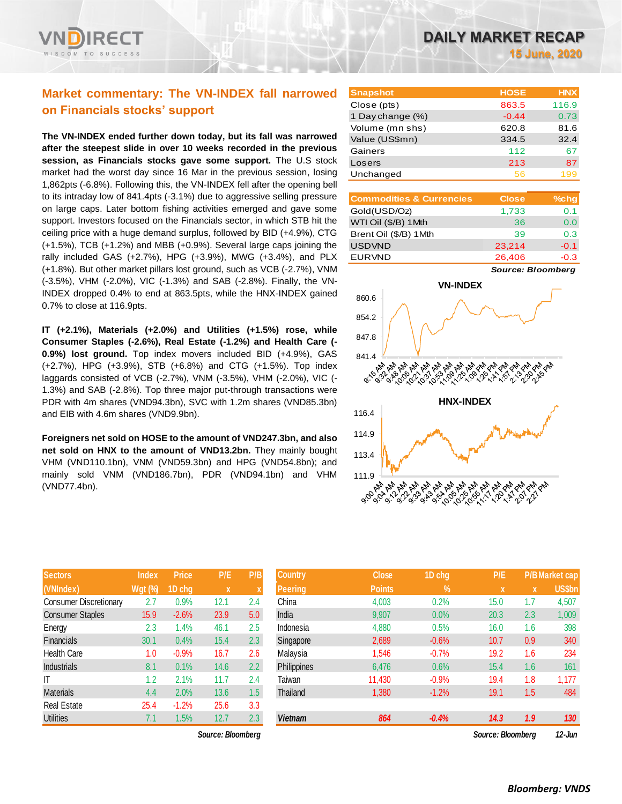# **Market commentary: The VN-INDEX fall narrowed on Financials stocks' support**

**The VN-INDEX ended further down today, but its fall was narrowed after the steepest slide in over 10 weeks recorded in the previous session, as Financials stocks gave some support.** The U.S stock market had the worst day since 16 Mar in the previous session, losing 1,862pts (-6.8%). Following this, the VN-INDEX fell after the opening bell to its intraday low of 841.4pts (-3.1%) due to aggressive selling pressure on large caps. Later bottom fishing activities emerged and gave some support. Investors focused on the Financials sector, in which STB hit the ceiling price with a huge demand surplus, followed by BID (+4.9%), CTG (+1.5%), TCB (+1.2%) and MBB (+0.9%). Several large caps joining the rally included GAS (+2.7%), HPG (+3.9%), MWG (+3.4%), and PLX (+1.8%). But other market pillars lost ground, such as VCB (-2.7%), VNM (-3.5%), VHM (-2.0%), VIC (-1.3%) and SAB (-2.8%). Finally, the VN-INDEX dropped 0.4% to end at 863.5pts, while the HNX-INDEX gained 0.7% to close at 116.9pts.

**IT (+2.1%), Materials (+2.0%) and Utilities (+1.5%) rose, while Consumer Staples (-2.6%), Real Estate (-1.2%) and Health Care (- 0.9%) lost ground.** Top index movers included BID (+4.9%), GAS (+2.7%), HPG (+3.9%), STB (+6.8%) and CTG (+1.5%). Top index laggards consisted of VCB (-2.7%), VNM (-3.5%), VHM (-2.0%), VIC (- 1.3%) and SAB (-2.8%). Top three major put-through transactions were PDR with 4m shares (VND94.3bn), SVC with 1.2m shares (VND85.3bn) and EIB with 4.6m shares (VND9.9bn).

**Foreigners net sold on HOSE to the amount of VND247.3bn, and also net sold on HNX to the amount of VND13.2bn.** They mainly bought VHM (VND110.1bn), VNM (VND59.3bn) and HPG (VND54.8bn); and mainly sold VNM (VND186.7bn), PDR (VND94.1bn) and VHM (VND77.4bn).

| <b>Sectors</b>                | <b>Index</b>   | <b>Price</b> | P/E  | P/B |
|-------------------------------|----------------|--------------|------|-----|
| (VNIndex)                     | <b>Wgt</b> (%) | 1D chg       | X    | X   |
| <b>Consumer Discretionary</b> | 2.7            | 0.9%         | 12.1 | 2.4 |
| <b>Consumer Staples</b>       | 15.9           | $-2.6%$      | 23.9 | 5.0 |
| Energy                        | 2.3            | 1.4%         | 46.1 | 2.5 |
| <b>Financials</b>             | 30.1           | 0.4%         | 15.4 | 2.3 |
| <b>Health Care</b>            | 1.0            | $-0.9%$      | 16.7 | 2.6 |
| <b>Industrials</b>            | 8.1            | 0.1%         | 14.6 | 2.2 |
| ıτ                            | 1.2            | 2.1%         | 11.7 | 2.4 |
| <b>Materials</b>              | 4.4            | 2.0%         | 13.6 | 1.5 |
| <b>Real Estate</b>            | 25.4           | $-1.2%$      | 25.6 | 3.3 |
| Utilities                     | 7.1            | 1.5%         | 12.7 | 2.3 |

*Source: Bloomberg Source: Bloomberg 12-Jun*

| <b>Snapshot</b>  | <b>HOSE</b> | <b>HNX</b> |
|------------------|-------------|------------|
| Close (pts)      | 863.5       | 116.9      |
| 1 Day change (%) | $-0.44$     | 0.73       |
| Volume (mn shs)  | 620.8       | 81.6       |
| Value (US\$mn)   | 334.5       | 32.4       |
| Gainers          | 112         | 67         |
| Losers           | 213         | 87         |
| Unchanged        | 56          |            |

| <b>Commodities &amp; Currencies</b> | <b>Close</b> | $%$ chg |
|-------------------------------------|--------------|---------|
| Gold(USD/Oz)                        | 1,733        | 0.1     |
| WTI Oil (\$/B) 1Mth                 | 36           | 0.0     |
| Brent Oil (\$/B) 1Mth               | 39           | 0.3     |
| <b>USDVND</b>                       | 23,214       | $-0.1$  |
| <b>EURVND</b>                       | 26,406       | $-0.3$  |

*Source: Bloomberg*



| <b>Sectors</b>                | <b>Index</b>   | <b>Price</b> | P/E               | P/B | <b>Country</b> | <b>Close</b>  | 1D chg        | P/E               |     | <b>P/B Market cap</b> |
|-------------------------------|----------------|--------------|-------------------|-----|----------------|---------------|---------------|-------------------|-----|-----------------------|
| (VNIndex)                     | <b>Wgt (%)</b> | 1D chg       | $\mathbf x$       |     | <b>Peering</b> | <b>Points</b> | $\frac{9}{6}$ | $\mathbf{x}$      | X   | US\$bn                |
| <b>Consumer Discretionary</b> | 2.7            | 0.9%         | 12.1              | 2.4 | China          | 4,003         | 0.2%          | 15.0              | 1.7 | 4,507                 |
| <b>Consumer Staples</b>       | 15.9           | $-2.6%$      | 23.9              | 5.0 | India          | 9,907         | 0.0%          | 20.3              | 2.3 | 1,009                 |
| Energy                        | 2.3            | $1.4\%$      | 46.1              | 2.5 | Indonesia      | 4,880         | 0.5%          | 16.0              | 1.6 | 398                   |
| <b>Financials</b>             | 30.1           | 0.4%         | 15.4              | 2.3 | Singapore      | 2,689         | $-0.6%$       | 10.7              | 0.9 | 340                   |
| <b>Health Care</b>            | 1.0            | $-0.9%$      | 16.7              | 2.6 | Malaysia       | 1,546         | $-0.7%$       | 19.2              | 1.6 | 234                   |
| <b>Industrials</b>            | 8.1            | 0.1%         | 14.6              | 2.2 | Philippines    | 6,476         | 0.6%          | 15.4              | 1.6 | 161                   |
| ΙT                            | 1.2            | 2.1%         | 11.7              | 2.4 | Taiwan         | 11,430        | $-0.9%$       | 19.4              | 1.8 | 1,177                 |
| <b>Materials</b>              | 4.4            | 2.0%         | 13.6              | 1.5 | Thailand       | 1,380         | $-1.2%$       | 19.1              | 1.5 | 484                   |
| Real Estate                   | 25.4           | $-1.2%$      | 25.6              | 3.3 |                |               |               |                   |     |                       |
| <b>Utilities</b>              | 7.1            | 1.5%         | 12.7              | 2.3 | <b>Vietnam</b> | 864           | $-0.4%$       | 14.3              | 1.9 | 130                   |
|                               |                |              | Source: Bloomberg |     |                |               |               | Source: Bloombera |     | $12$ -Jun             |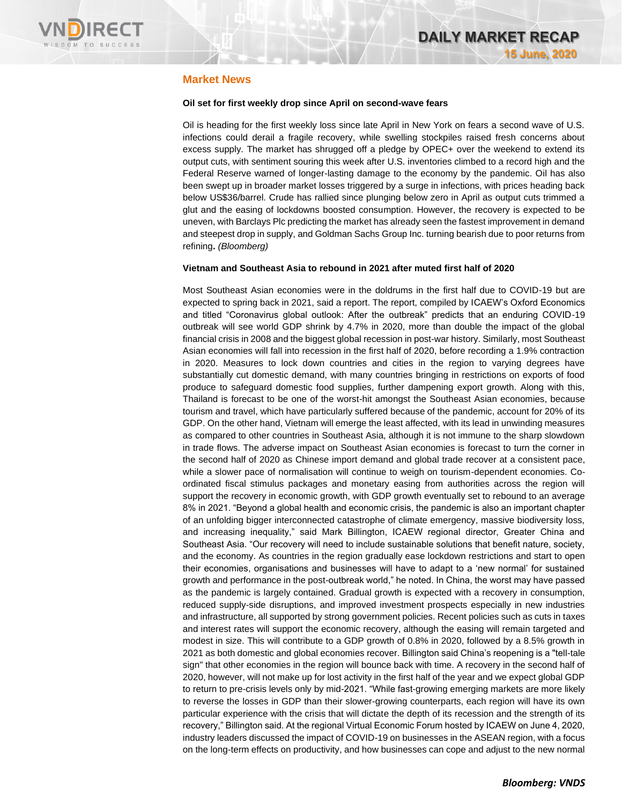

## **Market News**

#### **Oil set for first weekly drop since April on second-wave fears**

Oil is heading for the first weekly loss since late April in New York on fears a second wave of U.S. infections could derail a fragile recovery, while swelling stockpiles raised fresh concerns about excess supply. The market has shrugged off a pledge by OPEC+ over the weekend to extend its output cuts, with sentiment souring this week after U.S. inventories climbed to a record high and the Federal Reserve warned of longer-lasting damage to the economy by the pandemic. Oil has also been swept up in broader market losses triggered by a surge in infections, with prices heading back below US\$36/barrel. Crude has rallied since plunging below zero in April as output cuts trimmed a glut and the easing of lockdowns boosted consumption. However, the recovery is expected to be uneven, with Barclays Plc predicting the market has already seen the fastest improvement in demand and steepest drop in supply, and Goldman Sachs Group Inc. turning bearish due to poor returns from refining**.** *(Bloomberg)*

#### **Vietnam and Southeast Asia to rebound in 2021 after muted first half of 2020**

Most Southeast Asian economies were in the doldrums in the first half due to COVID-19 but are expected to spring back in 2021, said a report. The report, compiled by ICAEW's Oxford Economics and titled "Coronavirus global outlook: After the outbreak" predicts that an enduring COVID-19 outbreak will see world GDP shrink by 4.7% in 2020, more than double the impact of the global financial crisis in 2008 and the biggest global recession in post-war history. Similarly, most Southeast Asian economies will fall into recession in the first half of 2020, before recording a 1.9% contraction in 2020. Measures to lock down countries and cities in the region to varying degrees have substantially cut domestic demand, with many countries bringing in restrictions on exports of food produce to safeguard domestic food supplies, further dampening export growth. Along with this, Thailand is forecast to be one of the worst-hit amongst the Southeast Asian economies, because tourism and travel, which have particularly suffered because of the pandemic, account for 20% of its GDP. On the other hand, Vietnam will emerge the least affected, with its lead in unwinding measures as compared to other countries in Southeast Asia, although it is not immune to the sharp slowdown in trade flows. The adverse impact on Southeast Asian economies is forecast to turn the corner in the second half of 2020 as Chinese import demand and global trade recover at a consistent pace, while a slower pace of normalisation will continue to weigh on tourism-dependent economies. Coordinated fiscal stimulus packages and monetary easing from authorities across the region will support the recovery in economic growth, with GDP growth eventually set to rebound to an average 8% in 2021. "Beyond a global health and economic crisis, the pandemic is also an important chapter of an unfolding bigger interconnected catastrophe of climate emergency, massive biodiversity loss, and increasing inequality," said Mark Billington, ICAEW regional director, Greater China and Southeast Asia. "Our recovery will need to include sustainable solutions that benefit nature, society, and the economy. As countries in the region gradually ease lockdown restrictions and start to open their economies, organisations and businesses will have to adapt to a 'new normal' for sustained growth and performance in the post-outbreak world," he noted. In China, the worst may have passed as the pandemic is largely contained. Gradual growth is expected with a recovery in consumption, reduced supply-side disruptions, and improved investment prospects especially in new industries and infrastructure, all supported by strong government policies. Recent policies such as cuts in taxes and interest rates will support the economic recovery, although the easing will remain targeted and modest in size. This will contribute to a GDP growth of 0.8% in 2020, followed by a 8.5% growth in 2021 as both domestic and global economies recover. Billington said China's reopening is a "tell-tale sign" that other economies in the region will bounce back with time. A recovery in the second half of 2020, however, will not make up for lost activity in the first half of the year and we expect global GDP to return to pre-crisis levels only by mid-2021. "While fast-growing emerging markets are more likely to reverse the losses in GDP than their slower-growing counterparts, each region will have its own particular experience with the crisis that will dictate the depth of its recession and the strength of its recovery," Billington said. At the regional Virtual Economic Forum hosted by ICAEW on June 4, 2020, industry leaders discussed the impact of COVID-19 on businesses in the ASEAN region, with a focus on the long-term effects on productivity, and how businesses can cope and adjust to the new normal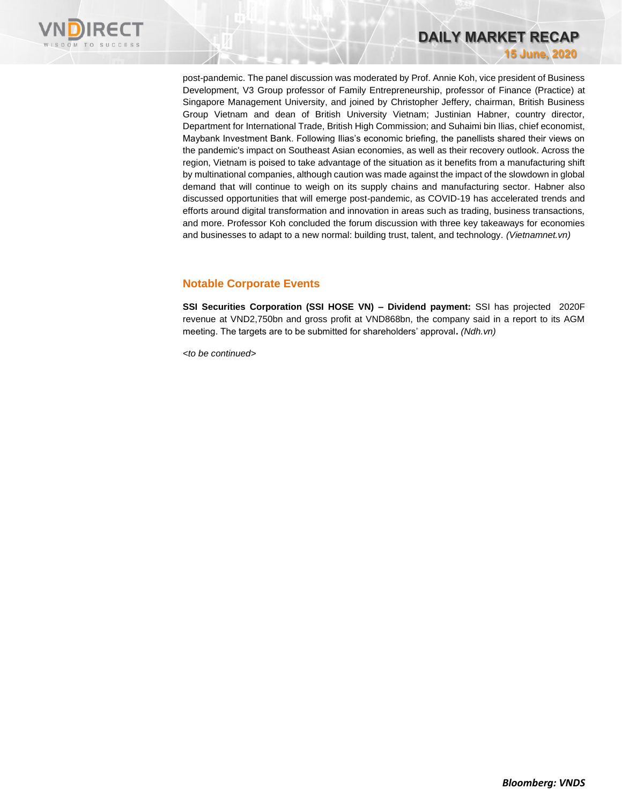

post-pandemic. The panel discussion was moderated by Prof. Annie Koh, vice president of Business Development, V3 Group professor of Family Entrepreneurship, professor of Finance (Practice) at Singapore Management University, and joined by Christopher Jeffery, chairman, British Business Group Vietnam and dean of British University Vietnam; Justinian Habner, country director, Department for International Trade, British High Commission; and Suhaimi bin Ilias, chief economist, Maybank Investment Bank. Following Ilias's economic briefing, the panellists shared their views on the pandemic's impact on Southeast Asian economies, as well as their recovery outlook. Across the region, Vietnam is poised to take advantage of the situation as it benefits from a manufacturing shift by multinational companies, although caution was made against the impact of the slowdown in global demand that will continue to weigh on its supply chains and manufacturing sector. Habner also discussed opportunities that will emerge post-pandemic, as COVID-19 has accelerated trends and efforts around digital transformation and innovation in areas such as trading, business transactions,

**DAILY MARKET RECAP** 

**15 June, 2020**

# **Notable Corporate Events**

**SSI Securities Corporation (SSI HOSE VN) – Dividend payment:** SSI has projected 2020F revenue at VND2,750bn and gross profit at VND868bn, the company said in a report to its AGM meeting. The targets are to be submitted for shareholders' approval**.** *(Ndh.vn)*

and more. Professor Koh concluded the forum discussion with three key takeaways for economies and businesses to adapt to a new normal: building trust, talent, and technology. *(Vietnamnet.vn)*

*<to be continued>*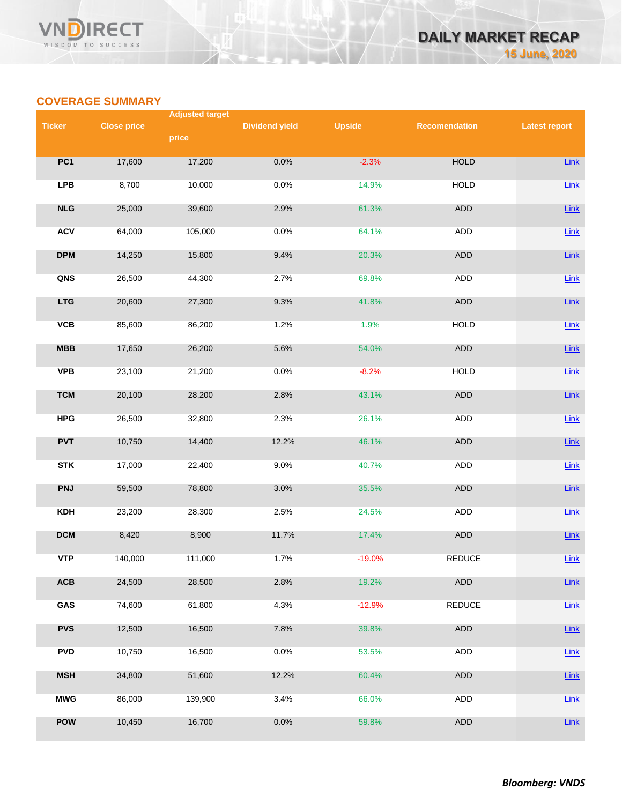# **COVERAGE SUMMARY**

|               |                    | <b>Adjusted target</b> |                       |               |                      |                      |  |  |
|---------------|--------------------|------------------------|-----------------------|---------------|----------------------|----------------------|--|--|
| <b>Ticker</b> | <b>Close price</b> | price                  | <b>Dividend yield</b> | <b>Upside</b> | <b>Recomendation</b> | <b>Latest report</b> |  |  |
|               |                    |                        |                       |               |                      |                      |  |  |
| PC1           | 17,600             | 17,200                 | 0.0%                  | $-2.3%$       | <b>HOLD</b>          | $Link$               |  |  |
| <b>LPB</b>    | 8,700              | 10,000                 | 0.0%                  | 14.9%         | <b>HOLD</b>          | Link                 |  |  |
| NLG           | 25,000             | 39,600                 | 2.9%                  | 61.3%         | ADD                  | Link                 |  |  |
| <b>ACV</b>    | 64,000             | 105,000                | 0.0%                  | 64.1%         | <b>ADD</b>           | Link                 |  |  |
| <b>DPM</b>    | 14,250             | 15,800                 | 9.4%                  | 20.3%         | ADD                  | $Link$               |  |  |
| QNS           | 26,500             | 44,300                 | 2.7%                  | 69.8%         | ADD                  | Link                 |  |  |
| <b>LTG</b>    | 20,600             | 27,300                 | 9.3%                  | 41.8%         | ADD                  | $Link$               |  |  |
| VCB           | 85,600             | 86,200                 | 1.2%                  | 1.9%          | <b>HOLD</b>          | Link                 |  |  |
| MBB           | 17,650             | 26,200                 | 5.6%                  | 54.0%         | ADD                  | Link                 |  |  |
| <b>VPB</b>    | 23,100             | 21,200                 | 0.0%                  | $-8.2%$       | <b>HOLD</b>          | Link                 |  |  |
| <b>TCM</b>    | 20,100             | 28,200                 | 2.8%                  | 43.1%         | ADD                  | $Link$               |  |  |
| <b>HPG</b>    | 26,500             | 32,800                 | 2.3%                  | 26.1%         | ADD                  | Link                 |  |  |
| <b>PVT</b>    | 10,750             | 14,400                 | 12.2%                 | 46.1%         | ADD                  | Link                 |  |  |
| <b>STK</b>    | 17,000             | 22,400                 | 9.0%                  | 40.7%         | ADD                  | Link                 |  |  |
| <b>PNJ</b>    | 59,500             | 78,800                 | 3.0%                  | 35.5%         | ADD                  | $Link$               |  |  |
| <b>KDH</b>    | 23,200             | 28,300                 | 2.5%                  | 24.5%         | <b>ADD</b>           | Link                 |  |  |
| <b>DCM</b>    | 8,420              | 8,900                  | 11.7%                 | 17.4%         | ADD                  | $Link$               |  |  |
| <b>VTP</b>    | 140,000            | 111,000                | 1.7%                  | $-19.0%$      | <b>REDUCE</b>        | Link                 |  |  |
| ACB           | 24,500             | 28,500                 | 2.8%                  | 19.2%         | ADD                  | $Link$               |  |  |
| GAS           | 74,600             | 61,800                 | 4.3%                  | $-12.9%$      | <b>REDUCE</b>        | Link                 |  |  |
| <b>PVS</b>    | 12,500             | 16,500                 | 7.8%                  | 39.8%         | ADD                  | $Link$               |  |  |
| <b>PVD</b>    | 10,750             | 16,500                 | 0.0%                  | 53.5%         | ADD                  | Link                 |  |  |
| <b>MSH</b>    | 34,800             | 51,600                 | 12.2%                 | 60.4%         | ADD                  | $Link$               |  |  |
| <b>MWG</b>    | 86,000             | 139,900                | 3.4%                  | 66.0%         | ADD                  | Link                 |  |  |
| <b>POW</b>    | 10,450             | 16,700                 | 0.0%                  | 59.8%         | ADD                  | $Link$               |  |  |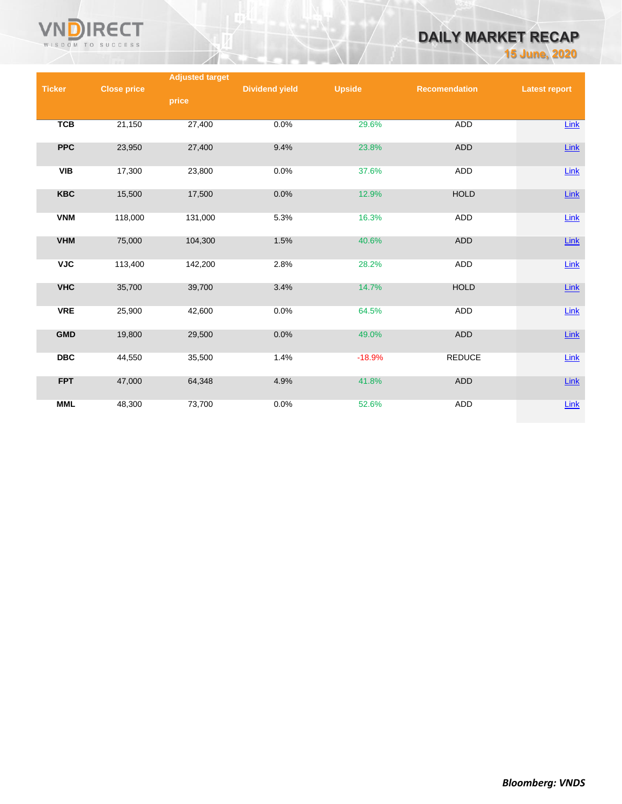

# **DAILY MARKET RECAP**

**15 June, 2020**

|                         |                    | <b>Adjusted target</b> |                       |               |                      |                      |
|-------------------------|--------------------|------------------------|-----------------------|---------------|----------------------|----------------------|
| <b>Ticker</b>           | <b>Close price</b> |                        | <b>Dividend yield</b> | <b>Upside</b> | <b>Recomendation</b> | <b>Latest report</b> |
|                         |                    | price                  |                       |               |                      |                      |
|                         |                    |                        |                       |               |                      |                      |
| <b>TCB</b>              | 21,150             | 27,400                 | 0.0%                  | 29.6%         | ADD                  | $Link$               |
|                         |                    |                        |                       |               |                      |                      |
| <b>PPC</b>              | 23,950             | 27,400                 | 9.4%                  | 23.8%         | <b>ADD</b>           | $Link$               |
|                         |                    |                        |                       |               |                      |                      |
| <b>VIB</b>              | 17,300             | 23,800                 | 0.0%                  | 37.6%         | ADD                  | Link                 |
|                         |                    |                        |                       |               |                      |                      |
| <b>KBC</b>              | 15,500             | 17,500                 | 0.0%                  | 12.9%         | <b>HOLD</b>          | $Link$               |
|                         |                    |                        |                       |               |                      |                      |
| <b>VNM</b>              | 118,000            | 131,000                | 5.3%                  | 16.3%         | ADD                  | $Link$               |
|                         |                    |                        |                       |               |                      |                      |
| <b>VHM</b>              | 75,000             | 104,300                | 1.5%                  | 40.6%         | <b>ADD</b>           | $Link$               |
|                         |                    |                        |                       |               |                      |                      |
| <b>VJC</b>              | 113,400            | 142,200                | 2.8%                  | 28.2%         | ADD                  | Link                 |
|                         |                    |                        |                       |               |                      |                      |
| <b>VHC</b>              | 35,700             | 39,700                 | 3.4%                  | 14.7%         | <b>HOLD</b>          | $Link$               |
|                         |                    |                        |                       |               |                      |                      |
| <b>VRE</b>              | 25,900             | 42,600                 | 0.0%                  | 64.5%         | ADD                  | $Link$               |
|                         |                    |                        |                       |               |                      |                      |
| <b>GMD</b>              | 19,800             | 29,500                 | 0.0%                  | 49.0%         | ADD                  | $Link$               |
|                         |                    |                        |                       |               |                      |                      |
| $\overline{\text{DBC}}$ | 44,550             | 35,500                 | 1.4%                  | $-18.9%$      | <b>REDUCE</b>        | Link                 |
|                         |                    |                        |                       |               |                      |                      |
| <b>FPT</b>              | 47,000             | 64,348                 | 4.9%                  | 41.8%         | <b>ADD</b>           | Link                 |
|                         |                    |                        |                       |               |                      |                      |
| <b>MML</b>              | 48,300             | 73,700                 | 0.0%                  | 52.6%         | ADD                  | Link                 |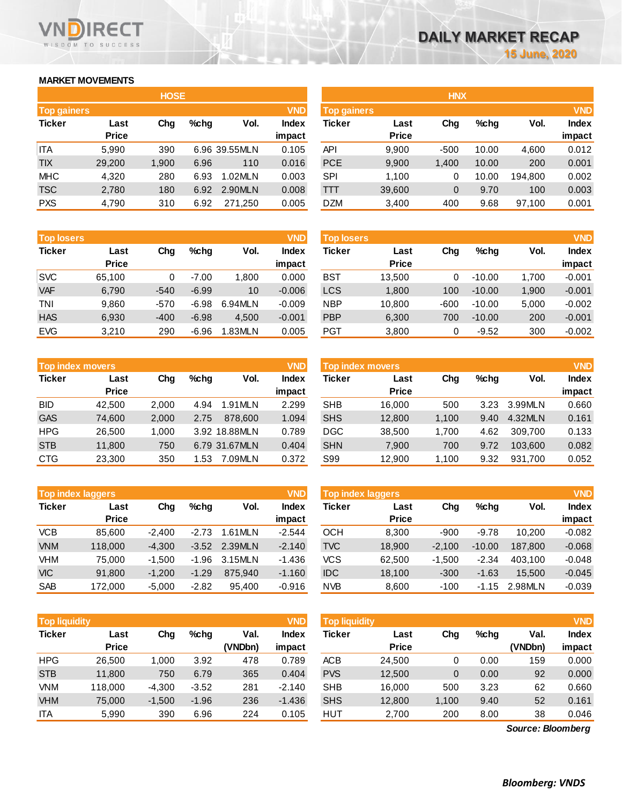### **MARKET MOVEMENTS**

WISDOM TO SUCCESS

ECT

Vľ

| <b>HOSE</b>        |              |       |      |               |              |  |  |  |  |  |
|--------------------|--------------|-------|------|---------------|--------------|--|--|--|--|--|
| <b>Top gainers</b> |              |       |      |               | <b>VND</b>   |  |  |  |  |  |
| <b>Ticker</b>      | Last         | Cha   | %chq | Vol.          | <b>Index</b> |  |  |  |  |  |
|                    | <b>Price</b> |       |      |               | impact       |  |  |  |  |  |
| <b>ITA</b>         | 5,990        | 390   |      | 6.96 39.55MLN | 0.105        |  |  |  |  |  |
| <b>TIX</b>         | 29,200       | 1,900 | 6.96 | 110           | 0.016        |  |  |  |  |  |
| <b>MHC</b>         | 4,320        | 280   | 6.93 | 1.02MLN       | 0.003        |  |  |  |  |  |
| <b>TSC</b>         | 2,780        | 180   | 6.92 | 2.90MLN       | 0.008        |  |  |  |  |  |
| <b>PXS</b>         | 4,790        | 310   | 6.92 | 271,250       | 0.005        |  |  |  |  |  |

| <b>Top losers</b> | <b>VND</b>           |        |         |         |                 | Top losers |                      |        |          |       | <b>VND</b>      |  |
|-------------------|----------------------|--------|---------|---------|-----------------|------------|----------------------|--------|----------|-------|-----------------|--|
| <b>Ticker</b>     | Last<br><b>Price</b> | Chg    | $%$ chg | Vol.    | Index<br>impact | Ticker     | Last<br><b>Price</b> | Chg    | $%$ chg  | Vol.  | Index<br>impact |  |
| <b>SVC</b>        | 65,100               | 0      | $-7.00$ | 1,800   | 0.000           | <b>BST</b> | 13.500               |        | $-10.00$ | 1.700 | $-0.001$        |  |
| <b>VAF</b>        | 6,790                | $-540$ | $-6.99$ | 10      | $-0.006$        | <b>LCS</b> | 1,800                | 100    | $-10.00$ | 1,900 | $-0.001$        |  |
| <b>TNI</b>        | 9,860                | $-570$ | $-6.98$ | 6.94MLN | $-0.009$        | <b>NBP</b> | 10.800               | $-600$ | $-10.00$ | 5,000 | $-0.002$        |  |
| <b>HAS</b>        | 6,930                | $-400$ | $-6.98$ | 4.500   | $-0.001$        | <b>PBP</b> | 6,300                | 700    | $-10.00$ | 200   | $-0.001$        |  |
| <b>EVG</b>        | 3.210                | 290    | $-6.96$ | .83MLN  | 0.005           | PGT        | 3.800                | 0      | $-9.52$  | 300   | $-0.002$        |  |

| <b>VND</b><br><b>Top index movers</b> |              |       |      |               |              |  |  |  |  |  |
|---------------------------------------|--------------|-------|------|---------------|--------------|--|--|--|--|--|
| <b>Ticker</b>                         | Last         | Chq   | %chq | Vol.          | <b>Index</b> |  |  |  |  |  |
|                                       | <b>Price</b> |       |      |               | impact       |  |  |  |  |  |
| <b>BID</b>                            | 42,500       | 2,000 | 4.94 | 1.91MLN       | 2.299        |  |  |  |  |  |
| <b>GAS</b>                            | 74,600       | 2,000 | 2.75 | 878,600       | 1.094        |  |  |  |  |  |
| <b>HPG</b>                            | 26,500       | 1,000 |      | 3.92 18.88MLN | 0.789        |  |  |  |  |  |
| <b>STB</b>                            | 11,800       | 750   |      | 6.79 31.67MLN | 0.404        |  |  |  |  |  |
| <b>CTG</b>                            | 23,300       | 350   | 1.53 | 7.09MLN       | 0.372        |  |  |  |  |  |

|               | <b>VND</b><br><b>Top index laggers</b> |          |         |         |              |  |  |  |  |  |  |  |
|---------------|----------------------------------------|----------|---------|---------|--------------|--|--|--|--|--|--|--|
| <b>Ticker</b> | Last                                   | Cha      | %chq    | Vol.    | <b>Index</b> |  |  |  |  |  |  |  |
|               | <b>Price</b>                           |          |         |         | impact       |  |  |  |  |  |  |  |
| <b>VCB</b>    | 85,600                                 | $-2,400$ | $-2.73$ | 1.61MLN | $-2.544$     |  |  |  |  |  |  |  |
| <b>VNM</b>    | 118,000                                | $-4,300$ | $-3.52$ | 2.39MLN | $-2.140$     |  |  |  |  |  |  |  |
| <b>VHM</b>    | 75,000                                 | $-1,500$ | $-1.96$ | 3.15MLN | $-1.436$     |  |  |  |  |  |  |  |
| <b>VIC</b>    | 91,800                                 | $-1,200$ | $-1.29$ | 875.940 | $-1.160$     |  |  |  |  |  |  |  |
| <b>SAB</b>    | 172,000                                | $-5,000$ | $-2.82$ | 95.400  | $-0.916$     |  |  |  |  |  |  |  |

| <b>Top liquidity</b> |                      |          |         | <b>VND</b><br><b>Top liquidity</b> |                 |            |                      |             |         |                 | <b>VND</b>             |
|----------------------|----------------------|----------|---------|------------------------------------|-----------------|------------|----------------------|-------------|---------|-----------------|------------------------|
| <b>Ticker</b>        | Last<br><b>Price</b> | Chg      | $%$ chg | Val.<br>(VNDbn)                    | Index<br>impact | Ticker     | Last<br><b>Price</b> | Chg         | $%$ chg | Val.<br>(VNDbn) | <b>Index</b><br>impact |
|                      |                      |          |         |                                    |                 |            |                      |             |         |                 |                        |
| <b>HPG</b>           | 26,500               | 1.000    | 3.92    | 478                                | 0.789           | <b>ACB</b> | 24.500               | 0           | 0.00    | 159             | 0.000                  |
| <b>STB</b>           | 11,800               | 750      | 6.79    | 365                                | 0.404           | <b>PVS</b> | 12,500               | $\mathbf 0$ | 0.00    | 92              | 0.000                  |
| VNM                  | 118,000              | $-4,300$ | $-3.52$ | 281                                | $-2.140$        | <b>SHB</b> | 16,000               | 500         | 3.23    | 62              | 0.660                  |
| <b>VHM</b>           | 75,000               | $-1,500$ | $-1.96$ | 236                                | $-1.436$        | <b>SHS</b> | 12,800               | 1,100       | 9.40    | 52              | 0.161                  |
| ITA                  | 5,990                | 390      | 6.96    | 224                                | 0.105           | HUT        | 2,700                | 200         | 8.00    | 38              | 0.046                  |
|                      | Source: Bloomberg    |          |         |                                    |                 |            |                      |             |         |                 |                        |

*Source: Bloomberg*

|                    |              | <b>HOSE</b> |         |               |              |                    |              | <b>HNX</b> |         |         |              |
|--------------------|--------------|-------------|---------|---------------|--------------|--------------------|--------------|------------|---------|---------|--------------|
| <b>Top gainers</b> |              |             |         |               | <b>VND</b>   | <b>Top gainers</b> |              |            |         |         | <b>VND</b>   |
| Ticker             | Last         | Chg         | $%$ chg | Vol.          | <b>Index</b> | Ticker             | Last         | Chg        | $%$ chg | Vol.    | <b>Index</b> |
|                    | <b>Price</b> |             |         |               | impact       |                    | <b>Price</b> |            |         |         | impact       |
| ITA                | 5,990        | 390         |         | 6.96 39.55MLN | 0.105        | <b>API</b>         | 9,900        | $-500$     | 10.00   | 4,600   | 0.012        |
| TIX                | 29,200       | 1,900       | 6.96    | 110           | 0.016        | <b>PCE</b>         | 9,900        | 1,400      | 10.00   | 200     | 0.001        |
| MHC                | 4,320        | 280         | 6.93    | 1.02MLN       | 0.003        | <b>SPI</b>         | 1.100        | 0          | 10.00   | 194,800 | 0.002        |
| <b>TSC</b>         | 2,780        | 180         | 6.92    | 2.90MLN       | 0.008        | TТT                | 39,600       | 0          | 9.70    | 100     | 0.003        |
| <b>PXS</b>         | 4,790        | 310         | 6.92    | 271,250       | 0.005        | <b>DZM</b>         | 3,400        | 400        | 9.68    | 97,100  | 0.001        |
|                    |              |             |         |               |              |                    |              |            |         |         |              |

| <b>Top losers</b> |                      |        |         |         | <b>VND</b>   | <b>Top losers</b> |                      |        |          |       | <b>VND</b>   |
|-------------------|----------------------|--------|---------|---------|--------------|-------------------|----------------------|--------|----------|-------|--------------|
| Ticker            | Last<br><b>Price</b> | Chg    | $%$ chg | Vol.    | <b>Index</b> | Ticker            | Last<br><b>Price</b> | Chg    | $%$ chg  | Vol.  | <b>Index</b> |
|                   |                      |        |         |         | impact       |                   |                      |        |          |       | impact       |
| <b>SVC</b>        | 65.100               |        | $-7.00$ | 1.800   | 0.000        | BST               | 13.500               | 0      | $-10.00$ | 1.700 | $-0.001$     |
| <b>VAF</b>        | 6,790                | $-540$ | $-6.99$ | 10      | $-0.006$     | <b>LCS</b>        | 1,800                | 100    | $-10.00$ | 1,900 | $-0.001$     |
| TNI               | 9,860                | $-570$ | $-6.98$ | 6.94MLN | $-0.009$     | <b>NBP</b>        | 10.800               | $-600$ | $-10.00$ | 5.000 | $-0.002$     |
| <b>HAS</b>        | 6,930                | $-400$ | $-6.98$ | 4.500   | $-0.001$     | <b>PBP</b>        | 6,300                | 700    | $-10.00$ | 200   | $-0.001$     |
| EVG               | 3,210                | 290    | $-6.96$ | 1.83MLN | 0.005        | <b>PGT</b>        | 3,800                |        | $-9.52$  | 300   | $-0.002$     |

| <b>Top index movers</b> |                      |       |      |               | <b>VND</b>             | Top index movers |                      |       |         |         |                        |
|-------------------------|----------------------|-------|------|---------------|------------------------|------------------|----------------------|-------|---------|---------|------------------------|
| Ticker                  | Last<br><b>Price</b> | Chg   | %chq | Vol.          | <b>Index</b><br>impact | Ticker           | Last<br><b>Price</b> | Chg   | $%$ chg | Vol.    | <b>Index</b><br>impact |
| BID                     | 42.500               | 2,000 | 4.94 | 1.91MLN       | 2.299                  | <b>SHB</b>       | 16.000               | 500   | 3.23    | 3.99MLN | 0.660                  |
| GAS                     | 74.600               | 2.000 | 2.75 | 878,600       | 1.094                  | <b>SHS</b>       | 12,800               | 1,100 | 9.40    | 4.32MLN | 0.161                  |
| HPG                     | 26,500               | 1.000 |      | 3.92 18.88MLN | 0.789                  | <b>DGC</b>       | 38,500               | 1,700 | 4.62    | 309.700 | 0.133                  |
| <b>STB</b>              | 11,800               | 750   |      | 6.79 31.67MLN | 0.404                  | <b>SHN</b>       | 7,900                | 700   | 9.72    | 103.600 | 0.082                  |
| CTG                     | 23,300               | 350   | 1.53 | 7.09MLN       | 0.372                  | S99              | 12,900               | 1,100 | 9.32    | 931,700 | 0.052                  |

|            | <b>Top index laggers</b> |          |         |         | <b>VND</b>   |            | <b>VND</b><br>Top index laggers |          |          |         |              |  |
|------------|--------------------------|----------|---------|---------|--------------|------------|---------------------------------|----------|----------|---------|--------------|--|
| Ticker     | Last                     | Chg      | $%$ chg | Vol.    | <b>Index</b> | Ticker     | Last                            | Chg      | $%$ chg  | Vol.    | <b>Index</b> |  |
|            | <b>Price</b>             |          |         |         | impact       |            | <b>Price</b>                    |          |          |         | impact       |  |
| VCB        | 85.600                   | $-2.400$ | $-2.73$ | 1.61MLN | $-2.544$     | OCH        | 8,300                           | $-900$   | $-9.78$  | 10.200  | $-0.082$     |  |
| <b>VNM</b> | 118,000                  | $-4.300$ | $-3.52$ | 2.39MLN | $-2.140$     | <b>TVC</b> | 18,900                          | $-2.100$ | $-10.00$ | 187.800 | $-0.068$     |  |
| VHM        | 75.000                   | $-1.500$ | $-1.96$ | 3.15MLN | $-1.436$     | <b>VCS</b> | 62,500                          | $-1.500$ | $-2.34$  | 403.100 | $-0.048$     |  |
| VIC        | 91,800                   | $-1.200$ | $-1.29$ | 875.940 | $-1.160$     | <b>IDC</b> | 18,100                          | $-300$   | $-1.63$  | 15.500  | $-0.045$     |  |
| <b>SAB</b> | 172.000                  | $-5.000$ | $-2.82$ | 95.400  | $-0.916$     | <b>NVB</b> | 8.600                           | -100     | $-1.15$  | 2.98MLN | $-0.039$     |  |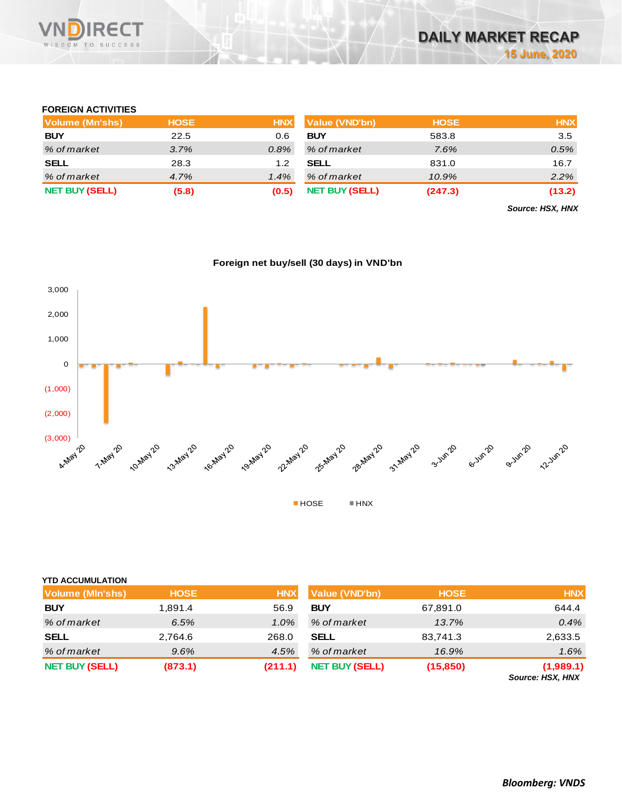

### **FOREIGN ACTIVITIES**

| Volume (Mn'shs)       | <b>HOSE</b> | <b>HNX</b> | Value (VND'bn)        | <b>HOSE</b> | <b>HNX</b> |
|-----------------------|-------------|------------|-----------------------|-------------|------------|
| <b>BUY</b>            | 22.5        | 0.6        | <b>BUY</b>            | 583.8       | 3.5        |
| % of market           | 3.7%        | $0.8\%$    | % of market           | 7.6%        | 0.5%       |
| <b>SELL</b>           | 28.3        | 1.2        | <b>SELL</b>           | 831.0       | 16.7       |
| % of market           | 4.7%        | 1.4%       | % of market           | 10.9%       | 2.2%       |
| <b>NET BUY (SELL)</b> | (5.8)       | (0.5)      | <b>NET BUY (SELL)</b> | (247.3)     | (13.2)     |

*Source: HSX, HNX*



| Foreign net buy/sell (30 days) in VND'bn |
|------------------------------------------|
|                                          |

| <b>YTD ACCUMULATION</b> |             |            |                       |             |                               |
|-------------------------|-------------|------------|-----------------------|-------------|-------------------------------|
| <b>Volume (MIn'shs)</b> | <b>HOSE</b> | <b>HNX</b> | <b>Value (VND'bn)</b> | <b>HOSE</b> | <b>HNX</b>                    |
| <b>BUY</b>              | 1,891.4     | 56.9       | <b>BUY</b>            | 67,891.0    | 644.4                         |
| % of market             | 6.5%        | $1.0\%$    | % of market           | 13.7%       | 0.4%                          |
| <b>SELL</b>             | 2,764.6     | 268.0      | <b>SELL</b>           | 83,741.3    | 2,633.5                       |
| % of market             | 9.6%        | 4.5%       | % of market           | 16.9%       | 1.6%                          |
| <b>NET BUY (SELL)</b>   | (873.1)     | (211.1)    | <b>NET BUY (SELL)</b> | (15, 850)   | (1,989.1)<br>Source: HSX, HNX |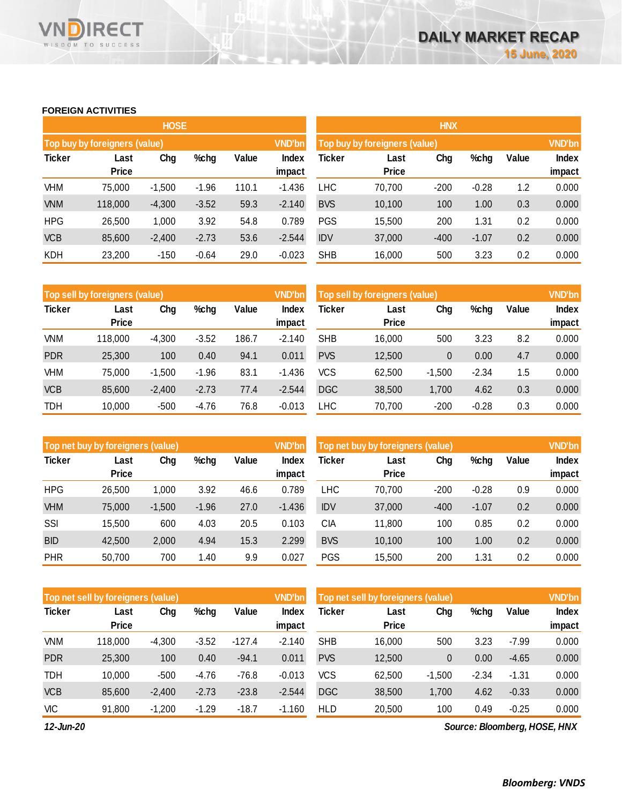#### **FOREIGN ACTIVITIES**

WISDOM TO SUCCESS

**RECT** 

VND

|               |                               | <b>HOSE</b> |         |       |                 |            |                               | <b>HNX</b> |         |       |                 |
|---------------|-------------------------------|-------------|---------|-------|-----------------|------------|-------------------------------|------------|---------|-------|-----------------|
|               | Top buy by foreigners (value) |             |         |       | VND'bn          |            | Top buy by foreigners (value) |            |         |       | <b>VND'bn</b>   |
| <b>Ticker</b> | Last<br><b>Price</b>          | Chg         | %chg    | Value | Index<br>impact | Ticker     | Last<br><b>Price</b>          | Chg        | %chg    | Value | Index<br>impact |
| <b>VHM</b>    | 75,000                        | $-1,500$    | $-1.96$ | 110.1 | $-1.436$        | LHC        | 70,700                        | $-200$     | $-0.28$ | 1.2   | 0.000           |
| <b>VNM</b>    | 118,000                       | $-4,300$    | $-3.52$ | 59.3  | $-2.140$        | <b>BVS</b> | 10,100                        | 100        | 1.00    | 0.3   | 0.000           |
| <b>HPG</b>    | 26,500                        | 1,000       | 3.92    | 54.8  | 0.789           | <b>PGS</b> | 15,500                        | 200        | 1.31    | 0.2   | 0.000           |
| <b>VCB</b>    | 85,600                        | $-2,400$    | $-2.73$ | 53.6  | $-2.544$        | <b>IDV</b> | 37,000                        | $-400$     | $-1.07$ | 0.2   | 0.000           |
| <b>KDH</b>    | 23,200                        | $-150$      | $-0.64$ | 29.0  | $-0.023$        | <b>SHB</b> | 16,000                        | 500        | 3.23    | 0.2   | 0.000           |

|               | Top sell by foreigners (value) |          |         |       | <b>VND'bn</b> | Top sell by foreigners (value) |              |          |         |       | <b>VND'bn</b> |
|---------------|--------------------------------|----------|---------|-------|---------------|--------------------------------|--------------|----------|---------|-------|---------------|
| <b>Ticker</b> | Last                           | Chg      | %chg    | Value | Index         | Ticker                         | Last         | Chg      | %chg    | Value | <b>Index</b>  |
|               | <b>Price</b>                   |          |         |       | impact        |                                | <b>Price</b> |          |         |       | impact        |
| <b>VNM</b>    | 118,000                        | $-4,300$ | $-3.52$ | 186.7 | $-2.140$      | <b>SHB</b>                     | 16,000       | 500      | 3.23    | 8.2   | 0.000         |
| <b>PDR</b>    | 25,300                         | 100      | 0.40    | 94.1  | 0.011         | <b>PVS</b>                     | 12,500       | 0        | 0.00    | 4.7   | 0.000         |
| VHM           | 75,000                         | $-1,500$ | $-1.96$ | 83.1  | $-1.436$      | VCS                            | 62,500       | $-1,500$ | $-2.34$ | 1.5   | 0.000         |
| <b>VCB</b>    | 85,600                         | $-2,400$ | $-2.73$ | 77.4  | $-2.544$      | <b>DGC</b>                     | 38,500       | 1.700    | 4.62    | 0.3   | 0.000         |
| TDH           | 10,000                         | $-500$   | $-4.76$ | 76.8  | $-0.013$      | LHC                            | 70,700       | $-200$   | $-0.28$ | 0.3   | 0.000         |

| Top net buy by foreigners (value) |                      |          |         |       | <b>VND'bn</b>          | Top net buy by foreigners (value) |                      |        |         |       | <b>VND'bn</b>          |
|-----------------------------------|----------------------|----------|---------|-------|------------------------|-----------------------------------|----------------------|--------|---------|-------|------------------------|
| <b>Ticker</b>                     | Last<br><b>Price</b> | Chg      | %chg    | Value | <b>Index</b><br>impact | Ticker                            | Last<br><b>Price</b> | Chg    | %chg    | Value | <b>Index</b><br>impact |
| <b>HPG</b>                        | 26,500               | 1.000    | 3.92    | 46.6  | 0.789                  | LHC                               | 70,700               | $-200$ | $-0.28$ | 0.9   | 0.000                  |
| <b>VHM</b>                        | 75,000               | $-1,500$ | $-1.96$ | 27.0  | $-1.436$               | <b>IDV</b>                        | 37,000               | $-400$ | $-1.07$ | 0.2   | 0.000                  |
| SSI                               | 15,500               | 600      | 4.03    | 20.5  | 0.103                  | CIA                               | 11,800               | 100    | 0.85    | 0.2   | 0.000                  |
| <b>BID</b>                        | 42,500               | 2,000    | 4.94    | 15.3  | 2.299                  | <b>BVS</b>                        | 10,100               | 100    | 1.00    | 0.2   | 0.000                  |
| <b>PHR</b>                        | 50,700               | 700      | 1.40    | 9.9   | 0.027                  | <b>PGS</b>                        | 15,500               | 200    | 1.31    | 0.2   | 0.000                  |

|               | <b>VND'bn</b><br>Top net sell by foreigners (value) |          |         |          |                 |            | Top net sell by foreigners (value) |          |         |         | <b>VND'bn</b>   |
|---------------|-----------------------------------------------------|----------|---------|----------|-----------------|------------|------------------------------------|----------|---------|---------|-----------------|
| <b>Ticker</b> | Last<br><b>Price</b>                                | Chg      | %chg    | Value    | Index<br>impact | Ticker     | Last<br><b>Price</b>               | Chg      | %chg    | Value   | Index<br>impact |
| VNM           | 118,000                                             | $-4.300$ | $-3.52$ | $-127.4$ | $-2.140$        | <b>SHB</b> | 16,000                             | 500      | 3.23    | $-7.99$ | 0.000           |
| <b>PDR</b>    | 25,300                                              | 100      | 0.40    | $-94.1$  | 0.011           | <b>PVS</b> | 12,500                             | 0        | 0.00    | $-4.65$ | 0.000           |
| <b>TDH</b>    | 10,000                                              | $-500$   | $-4.76$ | $-76.8$  | $-0.013$        | VCS        | 62,500                             | $-1,500$ | $-2.34$ | $-1.31$ | 0.000           |
| <b>VCB</b>    | 85,600                                              | $-2,400$ | $-2.73$ | $-23.8$  | $-2.544$        | <b>DGC</b> | 38,500                             | 1,700    | 4.62    | $-0.33$ | 0.000           |
| <b>VIC</b>    | 91,800                                              | $-1,200$ | $-1.29$ | $-18.7$  | $-1.160$        | <b>HLD</b> | 20,500                             | 100      | 0.49    | $-0.25$ | 0.000           |

*12-Jun-20*

*Source: Bloomberg, HOSE, HNX*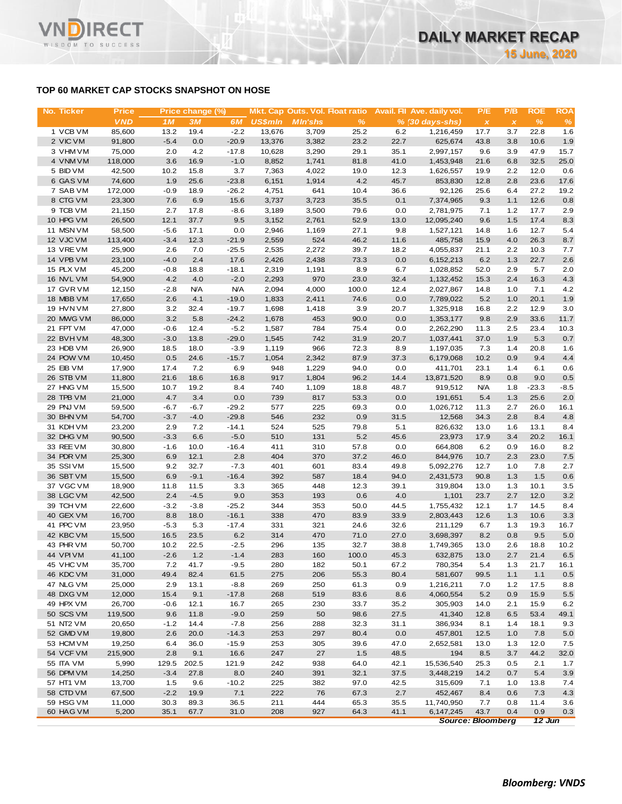# **TOP 60 MARKET CAP STOCKS SNAPSHOT ON HOSE**

| No. Ticker             | <b>Price</b>     |                | Price change (%) |                   |                | Mkt. Cap Outs. Vol. Float ratio |              |              | Avail. Fil Ave. daily vol. | P/E          | P/B          | <b>ROE</b>    | <b>ROA</b> |
|------------------------|------------------|----------------|------------------|-------------------|----------------|---------------------------------|--------------|--------------|----------------------------|--------------|--------------|---------------|------------|
|                        | <b>VND</b>       | 1M             | 3M               | 6M                | <b>US\$mln</b> | <b>MIn'shs</b>                  | %            |              | $% (30 days-shs)$          | $\pmb{\chi}$ | $\pmb{\chi}$ | $\frac{9}{6}$ | %          |
| 1 VCB VM               | 85,600           | 13.2           | 19.4             | $-2.2$            | 13,676         | 3,709                           | 25.2         | 6.2          | 1,216,459                  | 17.7         | 3.7          | 22.8          | 1.6        |
| 2 VIC VM               | 91,800           | $-5.4$         | 0.0              | $-20.9$           | 13,376         | 3,382                           | 23.2         | 22.7         | 625,674                    | 43.8         | 3.8          | 10.6          | 1.9        |
| 3 VHM VM               | 75,000           | 2.0            | 4.2              | $-17.8$           | 10,628         | 3,290                           | 29.1         | 35.1         | 2,997,157                  | 9.6          | 3.9          | 47.9          | 15.7       |
| 4 VNM VM               | 118,000          | 3.6            | 16.9             | $-1.0$            | 8,852          | 1,741                           | 81.8         | 41.0         | 1,453,948                  | 21.6         | 6.8          | 32.5          | 25.0       |
| 5 BID VM               | 42,500           | 10.2           | 15.8             | 3.7               | 7,363          | 4,022                           | 19.0         | 12.3         | 1,626,557                  | 19.9         | 2.2          | 12.0          | 0.6        |
| 6 GAS VM               | 74,600           | 1.9            | 25.6             | $-23.8$           | 6,151          | 1,914                           | 4.2          | 45.7         | 853,830                    | 12.8         | 2.8          | 23.6          | 17.6       |
| 7 SAB VM               | 172,000          | $-0.9$         | 18.9             | $-26.2$           | 4,751          | 641                             | 10.4         | 36.6         | 92,126                     | 25.6         | 6.4          | 27.2          | 19.2       |
| 8 CTG VM               | 23,300           | 7.6            | 6.9              | 15.6              | 3,737          | 3,723                           | 35.5         | 0.1          | 7,374,965                  | 9.3          | 1.1          | 12.6          | 0.8        |
| 9 TCB VM<br>10 HPG VM  | 21,150           | 2.7            | 17.8             | $-8.6$            | 3,189          | 3,500                           | 79.6         | 0.0          | 2,781,975                  | 7.1          | 1.2          | 17.7<br>17.4  | 2.9        |
| 11 MSN VM              | 26,500<br>58,500 | 12.1<br>$-5.6$ | 37.7<br>17.1     | 9.5<br>0.0        | 3,152<br>2,946 | 2,761<br>1,169                  | 52.9<br>27.1 | 13.0<br>9.8  | 12,095,240<br>1,527,121    | 9.6<br>14.8  | 1.5<br>1.6   | 12.7          | 8.3<br>5.4 |
| 12 VJC VM              | 113,400          | $-3.4$         | 12.3             | $-21.9$           | 2,559          | 524                             | 46.2         | 11.6         | 485,758                    | 15.9         | 4.0          | 26.3          | 8.7        |
| 13 VREVM               | 25,900           | 2.6            | 7.0              | $-25.5$           | 2,535          | 2,272                           | 39.7         | 18.2         | 4,055,837                  | 21.1         | 2.2          | 10.3          | 7.7        |
| 14 VPB VM              | 23,100           | $-4.0$         | 2.4              | 17.6              | 2,426          | 2,438                           | 73.3         | 0.0          | 6,152,213                  | 6.2          | 1.3          | 22.7          | 2.6        |
| 15 PLX VM              | 45,200           | $-0.8$         | 18.8             | $-18.1$           | 2,319          | 1,191                           | 8.9          | 6.7          | 1,028,852                  | 52.0         | 2.9          | 5.7           | 2.0        |
| 16 NVL VM              | 54,900           | 4.2            | 4.0              | $-2.0$            | 2,293          | 970                             | 23.0         | 32.4         | 1,132,452                  | 15.3         | 2.4          | 16.3          | 4.3        |
| 17 GVR VM              | 12,150           | $-2.8$         | <b>N/A</b>       | <b>N/A</b>        | 2,094          | 4,000                           | 100.0        | 12.4         | 2,027,867                  | 14.8         | 1.0          | 7.1           | 4.2        |
| 18 MBB VM              | 17,650           | 2.6            | 4.1              | $-19.0$           | 1,833          | 2,411                           | 74.6         | 0.0          | 7,789,022                  | 5.2          | 1.0          | 20.1          | 1.9        |
| 19 HVN VM              | 27,800           | 3.2            | 32.4             | $-19.7$           | 1,698          | 1,418                           | 3.9          | 20.7         | 1,325,918                  | 16.8         | 2.2          | 12.9          | 3.0        |
| 20 MWG VM              | 86,000           | 3.2            | 5.8              | $-24.2$           | 1,678          | 453                             | 90.0         | 0.0          | 1,353,177                  | 9.8          | 2.9          | 33.6          | 11.7       |
| 21 FPT VM              | 47,000           | $-0.6$         | 12.4             | $-5.2$            | 1,587          | 784                             | 75.4         | 0.0          | 2,262,290                  | 11.3         | 2.5          | 23.4          | 10.3       |
| 22 BVHVM               | 48,300           | $-3.0$         | 13.8             | $-29.0$           | 1,545          | 742                             | 31.9         | 20.7         | 1,037,441                  | 37.0         | 1.9          | 5.3           | 0.7        |
| 23 HDB VM              | 26,900           | 18.5           | 18.0             | $-3.9$            | 1,119          | 966                             | 72.3         | 8.9          | 1,197,035                  | 7.3          | 1.4          | 20.8          | 1.6        |
| 24 POW VM              | 10,450           | 0.5            | 24.6             | $-15.7$           | 1,054          | 2,342                           | 87.9         | 37.3         | 6,179,068                  | 10.2         | 0.9          | 9.4           | 4.4        |
| 25 EIB VM              | 17,900           | 17.4           | 7.2              | 6.9               | 948            | 1,229                           | 94.0         | 0.0          | 411,701                    | 23.1         | 1.4          | 6.1           | 0.6        |
| 26 STB VM              | 11,800           | 21.6           | 18.6             | 16.8              | 917            | 1,804                           | 96.2         | 14.4         | 13,871,520                 | 8.9          | 0.8          | 9.0           | 0.5        |
| 27 HNG VM              | 15,500           | 10.7           | 19.2             | 8.4               | 740            | 1,109                           | 18.8         | 48.7         | 919,512                    | <b>N/A</b>   | 1.8          | $-23.3$       | $-8.5$     |
| 28 TPB VM              | 21,000           | 4.7            | 3.4              | 0.0               | 739            | 817                             | 53.3         | 0.0          | 191,651                    | 5.4          | 1.3          | 25.6          | 2.0        |
| 29 PNJ VM              | 59,500           | $-6.7$         | $-6.7$           | $-29.2$           | 577            | 225                             | 69.3         | 0.0          | 1,026,712                  | 11.3         | 2.7          | 26.0          | 16.1       |
| 30 BHN VM              | 54,700           | $-3.7$         | $-4.0$           | $-29.8$           | 546            | 232                             | 0.9          | 31.5         | 12,568                     | 34.3         | 2.8          | 8.4           | 4.8        |
| 31 KDH VM              | 23,200           | 2.9            | 7.2              | $-14.1$           | 524            | 525                             | 79.8         | 5.1          | 826,632                    | 13.0         | 1.6          | 13.1          | 8.4        |
| 32 DHG VM              | 90,500           | $-3.3$         | 6.6              | $-5.0$            | 510            | 131                             | 5.2          | 45.6         | 23,973                     | 17.9         | 3.4          | 20.2          | 16.1       |
| 33 REE VM              | 30,800           | $-1.6$         | 10.0             | $-16.4$           | 411            | 310                             | 57.8         | 0.0          | 664,808                    | 6.2          | 0.9          | 16.0          | 8.2        |
| 34 PDR VM              | 25,300           | 6.9            | 12.1             | 2.8               | 404            | 370                             | 37.2         | 46.0         | 844,976                    | 10.7         | 2.3          | 23.0          | 7.5        |
| 35 SSI VM<br>36 SBT VM | 15,500<br>15,500 | 9.2<br>6.9     | 32.7<br>$-9.1$   | $-7.3$<br>$-16.4$ | 401<br>392     | 601<br>587                      | 83.4<br>18.4 | 49.8<br>94.0 | 5,092,276<br>2,431,573     | 12.7<br>90.8 | 1.0<br>1.3   | 7.8<br>1.5    | 2.7        |
| 37 VGC VM              | 18,900           | 11.8           | 11.5             | 3.3               | 365            | 448                             | 12.3         | 39.1         | 319,804                    | 13.0         | 1.3          | 10.1          | 0.6<br>3.5 |
| 38 LGC VM              | 42,500           | 2.4            | $-4.5$           | 9.0               | 353            | 193                             | 0.6          | 4.0          | 1,101                      | 23.7         | 2.7          | 12.0          | 3.2        |
| 39 TCH VM              | 22,600           | $-3.2$         | $-3.8$           | $-25.2$           | 344            | 353                             | 50.0         | 44.5         | 1,755,432                  | 12.1         | 1.7          | 14.5          | 8.4        |
| 40 GEX VM              | 16,700           | 8.8            | 18.0             | $-16.1$           | 338            | 470                             | 83.9         | 33.9         | 2,803,443                  | 12.6         | 1.3          | 10.6          | 3.3        |
| 41 PPC VM              | 23,950           | -5.3           | 5.3              | -17.4             | 331            | 321                             | 24.6         | 32.6         | 211,129                    | 6.7          | 1.3          | 19.3          | 16.7       |
| 42 KBC VM              | 15,500           | 16.5           | 23.5             | 6.2               | 314            | 470                             | 71.0         | 27.0         | 3,698,397                  | 8.2          | 0.8          | 9.5           | 5.0        |
| 43 PHR VM              | 50,700           | 10.2           | 22.5             | $-2.5$            | 296            | 135                             | 32.7         | 38.8         | 1,749,365                  | 13.0         | 2.6          | 18.8          | 10.2       |
| 44 VPI VM              | 41,100           | $-2.6$         | 1.2              | $-1.4$            | 283            | 160                             | 100.0        | 45.3         | 632,875                    | 13.0         | 2.7          | 21.4          | 6.5        |
| 45 VHC VM              | 35,700           | 7.2            | 41.7             | $-9.5$            | 280            | 182                             | 50.1         | 67.2         | 780,354                    | 5.4          | 1.3          | 21.7          | 16.1       |
| 46 KDC VM              | 31,000           | 49.4           | 82.4             | 61.5              | 275            | 206                             | 55.3         | 80.4         | 581,607                    | 99.5         | 1.1          | 1.1           | 0.5        |
| 47 NLG VM              | 25,000           | 2.9            | 13.1             | $-8.8$            | 269            | 250                             | 61.3         | 0.9          | 1,216,211                  | 7.0          | 1.2          | 17.5          | 8.8        |
| 48 DXG VM              | 12,000           | 15.4           | 9.1              | $-17.8$           | 268            | 519                             | 83.6         | 8.6          | 4,060,554                  | 5.2          | 0.9          | 15.9          | 5.5        |
| 49 HPX VM              | 26,700           | $-0.6$         | 12.1             | 16.7              | 265            | 230                             | 33.7         | 35.2         | 305,903                    | 14.0         | 2.1          | 15.9          | 6.2        |
| 50 SCS VM              | 119,500          | 9.6            | 11.8             | $-9.0$            | 259            | 50                              | 98.6         | 27.5         | 41,340                     | 12.8         | 6.5          | 53.4          | 49.1       |
| 51 NT2 VM              | 20,650           | $-1.2$         | 14.4             | $-7.8$            | 256            | 288                             | 32.3         | 31.1         | 386,934                    | 8.1          | 1.4          | 18.1          | 9.3        |
| 52 GMD VM              | 19,800           | 2.6            | 20.0             | $-14.3$           | 253            | 297                             | 80.4         | 0.0          | 457,801                    | 12.5         | 1.0          | 7.8           | 5.0        |
| 53 HCM VM              | 19,250           | 6.4            | 36.0             | $-15.9$           | 253            | 305                             | 39.6         | 47.0         | 2,652,581                  | 13.0         | 1.3          | 12.0          | 7.5        |
| 54 VCF VM              | 215,900          | 2.8            | 9.1              | 16.6              | 247            | 27                              | 1.5          | 48.5         | 194                        | 8.5          | 3.7          | 44.2          | 32.0       |
| 55 ITA VM              | 5,990            | 129.5          | 202.5            | 121.9             | 242            | 938                             | 64.0         | 42.1         | 15,536,540                 | 25.3         | 0.5          | 2.1           | 1.7        |
| 56 DPM VM              | 14,250           | $-3.4$         | 27.8             | 8.0               | 240            | 391                             | 32.1         | 37.5         | 3,448,219                  | 14.2         | 0.7          | 5.4           | 3.9        |
| 57 HT1 VM              | 13,700           | 1.5            | 9.6              | $-10.2$           | 225            | 382                             | 97.0         | 42.5         | 315,609                    | 7.1          | 1.0          | 13.8          | 7.4        |
| 58 CTD VM              | 67,500           | $-2.2$         | 19.9             | 7.1               | 222            | 76                              | 67.3         | 2.7          | 452,467                    | 8.4          | 0.6          | 7.3           | 4.3        |
| 59 HSG VM              | 11,000           | 30.3           | 89.3             | 36.5              | 211            | 444                             | 65.3         | 35.5         | 11,740,950                 | 7.7          | 0.8          | 11.4          | 3.6        |
| 60 HAG VM              | 5,200            | 35.1           | 67.7             | 31.0              | 208            | 927                             | 64.3         | 41.1         | 6,147,245                  | 43.7         | 0.4          | 0.9           | 0.3        |